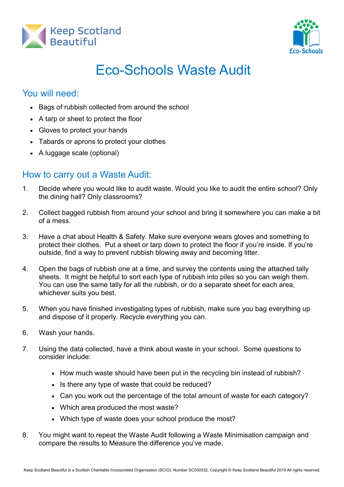



## Eco-Schools Waste Audit

## You will need:

- Bags of rubbish collected from around the school
- A tarp or sheet to protect the floor
- Gloves to protect your hands
- Tabards or aprons to protect your clothes
- A luggage scale (optional)

## How to carry out a Waste Audit:

- 1. Decide where you would like to audit waste. Would you like to audit the entire school? Only the dining hall? Only classrooms?
- 2. Collect bagged rubbish from around your school and bring it somewhere you can make a bit of a mess.
- 3. Have a chat about Health & Safety. Make sure everyone wears gloves and something to protect their clothes. Put a sheet or tarp down to protect the floor if you're inside. If you're outside, find a way to prevent rubbish blowing away and becoming litter.
- 4. Open the bags of rubbish one at a time, and survey the contents using the attached tally sheets. It might be helpful to sort each type of rubbish into piles so you can weigh them. You can use the same tally for all the rubbish, or do a separate sheet for each area, whichever suits you best.
- 5. When you have finished investigating types of rubbish, make sure you bag everything up and dispose of it properly. Recycle everything you can.
- 6. Wash your hands.
- 7. Using the data collected, have a think about waste in your school. Some questions to consider include:
	- How much waste should have been put in the recycling bin instead of rubbish?
	- Is there any type of waste that could be reduced?
	- Can you work out the percentage of the total amount of waste for each category?
	- Which area produced the most waste?
	- Which type of waste does your school produce the most?
- 8. You might want to repeat the Waste Audit following a Waste Minimisation campaign and compare the results to Measure the difference you've made.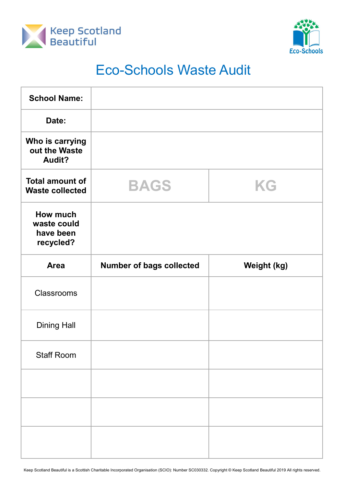



## Eco-Schools Waste Audit

| <b>School Name:</b>                               |                                 |                    |
|---------------------------------------------------|---------------------------------|--------------------|
| Date:                                             |                                 |                    |
| Who is carrying<br>out the Waste<br>Audit?        |                                 |                    |
| <b>Total amount of</b><br><b>Waste collected</b>  | <b>BAGS</b>                     | KG                 |
| How much<br>waste could<br>have been<br>recycled? |                                 |                    |
| <b>Area</b>                                       | <b>Number of bags collected</b> | <b>Weight (kg)</b> |
| Classrooms                                        |                                 |                    |
| <b>Dining Hall</b>                                |                                 |                    |
| <b>Staff Room</b>                                 |                                 |                    |
|                                                   |                                 |                    |
|                                                   |                                 |                    |
|                                                   |                                 |                    |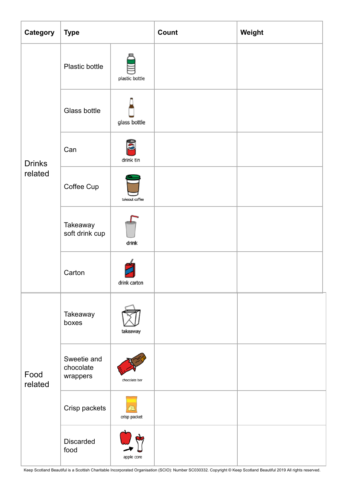| Category                 | <b>Type</b>                          |                | Count | Weight |
|--------------------------|--------------------------------------|----------------|-------|--------|
| <b>Drinks</b><br>related | Plastic bottle                       | plastic bottle |       |        |
|                          | Glass bottle                         | glass bottle   |       |        |
|                          | Can                                  | drink tin      |       |        |
|                          | Coffee Cup                           | takeout coffee |       |        |
|                          | Takeaway<br>soft drink cup           | drink          |       |        |
|                          | Carton                               | drink carton   |       |        |
| Food<br>related          | Takeaway<br>boxes                    | takeaway       |       |        |
|                          | Sweetie and<br>chocolate<br>wrappers | chocolate bar  |       |        |
|                          | Crisp packets                        | crisp packet   |       |        |
|                          | <b>Discarded</b><br>food             | apple core     |       |        |

Keep Scotland Beautiful is a Scottish Charitable Incorporated Organisation (SCIO): Number SC030332. Copyright © Keep Scotland Beautiful 2019 All rights reserved.